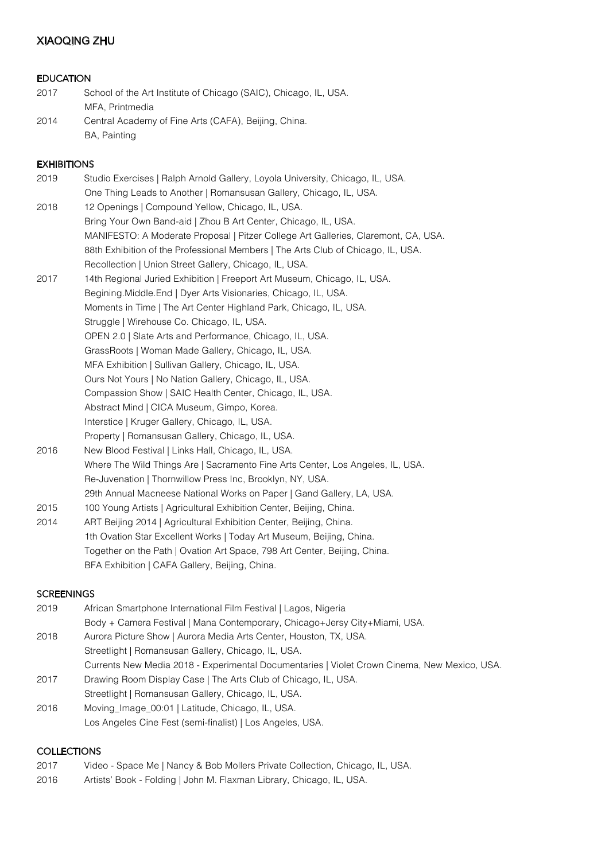# XIAOQING ZHU

### EDUCATION

| 2017 | School of the Art Institute of Chicago (SAIC), Chicago, IL, USA. |
|------|------------------------------------------------------------------|
|      | MFA, Printmedia                                                  |
| 2014 | Central Academy of Fine Arts (CAFA), Beijing, China.             |
|      | BA, Painting                                                     |

## **EXHIBITIONS**

| 2019 | Studio Exercises   Ralph Arnold Gallery, Loyola University, Chicago, IL, USA.      |
|------|------------------------------------------------------------------------------------|
|      | One Thing Leads to Another   Romansusan Gallery, Chicago, IL, USA.                 |
| 2018 | 12 Openings   Compound Yellow, Chicago, IL, USA.                                   |
|      | Bring Your Own Band-aid   Zhou B Art Center, Chicago, IL, USA.                     |
|      | MANIFESTO: A Moderate Proposal   Pitzer College Art Galleries, Claremont, CA, USA. |
|      | 88th Exhibition of the Professional Members   The Arts Club of Chicago, IL, USA.   |
|      | Recollection   Union Street Gallery, Chicago, IL, USA.                             |
| 2017 | 14th Regional Juried Exhibition   Freeport Art Museum, Chicago, IL, USA.           |
|      | Begining Middle End   Dyer Arts Visionaries, Chicago, IL, USA.                     |
|      | Moments in Time   The Art Center Highland Park, Chicago, IL, USA.                  |
|      | Struggle   Wirehouse Co. Chicago, IL, USA.                                         |
|      | OPEN 2.0   Slate Arts and Performance, Chicago, IL, USA.                           |
|      | GrassRoots   Woman Made Gallery, Chicago, IL, USA.                                 |
|      | MFA Exhibition   Sullivan Gallery, Chicago, IL, USA.                               |
|      | Ours Not Yours   No Nation Gallery, Chicago, IL, USA.                              |
|      | Compassion Show   SAIC Health Center, Chicago, IL, USA.                            |
|      | Abstract Mind   CICA Museum, Gimpo, Korea.                                         |
|      | Interstice   Kruger Gallery, Chicago, IL, USA.                                     |
|      | Property   Romansusan Gallery, Chicago, IL, USA.                                   |
| 2016 | New Blood Festival   Links Hall, Chicago, IL, USA.                                 |
|      | Where The Wild Things Are   Sacramento Fine Arts Center, Los Angeles, IL, USA.     |
|      | Re-Juvenation   Thornwillow Press Inc, Brooklyn, NY, USA.                          |
|      | 29th Annual Macneese National Works on Paper   Gand Gallery, LA, USA.              |
| 2015 | 100 Young Artists   Agricultural Exhibition Center, Beijing, China.                |
| 2014 | ART Beijing 2014   Agricultural Exhibition Center, Beijing, China.                 |
|      | 1th Ovation Star Excellent Works   Today Art Museum, Beijing, China.               |

 Together on the Path | Ovation Art Space, 798 Art Center, Beijing, China. BFA Exhibition | CAFA Gallery, Beijing, China.

#### **SCREENINGS**

| 2019 | African Smartphone International Film Festival   Lagos, Nigeria                              |
|------|----------------------------------------------------------------------------------------------|
|      | Body + Camera Festival   Mana Contemporary, Chicago+Jersy City+Miami, USA.                   |
| 2018 | Aurora Picture Show   Aurora Media Arts Center, Houston, TX, USA.                            |
|      | Streetlight   Romansusan Gallery, Chicago, IL, USA.                                          |
|      | Currents New Media 2018 - Experimental Documentaries   Violet Crown Cinema, New Mexico, USA. |
| 2017 | Drawing Room Display Case   The Arts Club of Chicago, IL, USA.                               |
|      | Streetlight   Romansusan Gallery, Chicago, IL, USA.                                          |
| 2016 | Moving_Image_00:01   Latitude, Chicago, IL, USA.                                             |
|      | Los Angeles Cine Fest (semi-finalist)   Los Angeles, USA.                                    |

#### **COLLECTIONS**

- 2017 Video Space Me | Nancy & Bob Mollers Private Collection, Chicago, IL, USA.
- 2016 Artists' Book Folding | John M. Flaxman Library, Chicago, IL, USA.